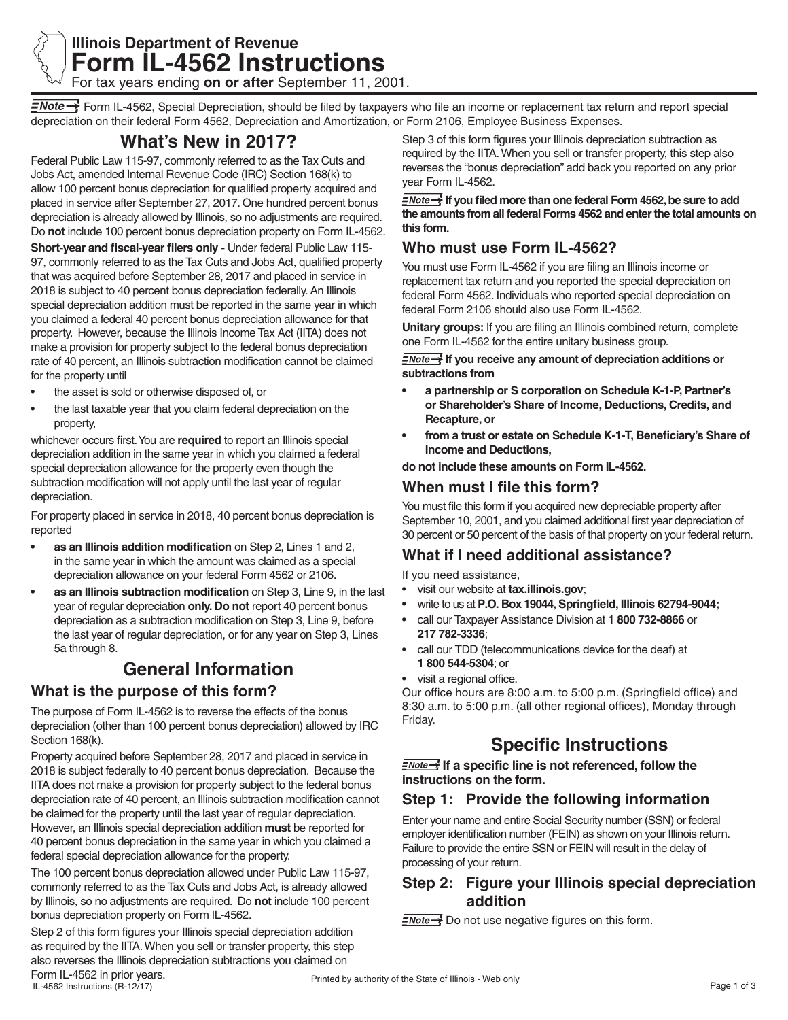

## **Illinois Department of Revenue Form IL-4562 Instructions** For tax years ending **on or after** September 11, 2001.

FNote  $\rightarrow$  Form IL-4562, Special Depreciation, should be filed by taxpayers who file an income or replacement tax return and report special depreciation on their federal Form 4562, Depreciation and Amortization, or Form 2106, Employee Business Expenses.

# **What's New in 2017?**

Federal Public Law 115-97, commonly referred to as the Tax Cuts and Jobs Act, amended Internal Revenue Code (IRC) Section 168(k) to allow 100 percent bonus depreciation for qualified property acquired and placed in service after September 27, 2017. One hundred percent bonus depreciation is already allowed by Illinois, so no adjustments are required. Do **not** include 100 percent bonus depreciation property on Form IL-4562.

**Short-year and fiscal-year filers only -** Under federal Public Law 115- 97, commonly referred to as the Tax Cuts and Jobs Act, qualified property that was acquired before September 28, 2017 and placed in service in 2018 is subject to 40 percent bonus depreciation federally. An Illinois special depreciation addition must be reported in the same year in which you claimed a federal 40 percent bonus depreciation allowance for that property. However, because the Illinois Income Tax Act (IITA) does not make a provision for property subject to the federal bonus depreciation rate of 40 percent, an Illinois subtraction modification cannot be claimed for the property until

- the asset is sold or otherwise disposed of, or
- the last taxable year that you claim federal depreciation on the property,

whichever occurs first. You are **required** to report an Illinois special depreciation addition in the same year in which you claimed a federal special depreciation allowance for the property even though the subtraction modification will not apply until the last year of regular depreciation.

For property placed in service in 2018, 40 percent bonus depreciation is reported

- **• as an Illinois addition modification** on Step 2, Lines 1 and 2, in the same year in which the amount was claimed as a special depreciation allowance on your federal Form 4562 or 2106.
- **• as an Illinois subtraction modification** on Step 3, Line 9, in the last year of regular depreciation **only. Do not** report 40 percent bonus depreciation as a subtraction modification on Step 3, Line 9, before the last year of regular depreciation, or for any year on Step 3, Lines 5a through 8.

# **General Information**

### **What is the purpose of this form?**

The purpose of Form IL-4562 is to reverse the effects of the bonus depreciation (other than 100 percent bonus depreciation) allowed by IRC Section 168(k).

Property acquired before September 28, 2017 and placed in service in 2018 is subject federally to 40 percent bonus depreciation. Because the IITA does not make a provision for property subject to the federal bonus depreciation rate of 40 percent, an Illinois subtraction modification cannot be claimed for the property until the last year of regular depreciation. However, an Illinois special depreciation addition **must** be reported for 40 percent bonus depreciation in the same year in which you claimed a federal special depreciation allowance for the property.

The 100 percent bonus depreciation allowed under Public Law 115-97, commonly referred to as the Tax Cuts and Jobs Act, is already allowed by Illinois, so no adjustments are required. Do **not** include 100 percent bonus depreciation property on Form IL-4562.

Step 2 of this form figures your Illinois special depreciation addition as required by the IITA. When you sell or transfer property, this step also reverses the Illinois depreciation subtractions you claimed on

Step 3 of this form figures your Illinois depreciation subtraction as required by the IITA. When you sell or transfer property, this step also reverses the "bonus depreciation" add back you reported on any prior year Form IL-4562.

**If you filed more than one federal Form 4562, be sure to add the amounts from all federal Forms 4562 and enter the total amounts on this form.**

### **Who must use Form IL-4562?**

You must use Form IL-4562 if you are filing an Illinois income or replacement tax return and you reported the special depreciation on federal Form 4562. Individuals who reported special depreciation on federal Form 2106 should also use Form IL-4562.

**Unitary groups:** If you are filing an Illinois combined return, complete one Form IL-4562 for the entire unitary business group.

**I**f you receive any amount of depreciation additions or **subtractions from** 

- **• a partnership or S corporation on Schedule K-1-P, Partner's or Shareholder's Share of Income, Deductions, Credits, and Recapture, or**
- **• from a trust or estate on Schedule K-1-T, Beneficiary's Share of Income and Deductions,**

**do not include these amounts on Form IL-4562.** 

### **When must I file this form?**

You must file this form if you acquired new depreciable property after September 10, 2001, and you claimed additional first year depreciation of 30 percent or 50 percent of the basis of that property on your federal return.

## **What if I need additional assistance?**

If you need assistance,

- visit our website at **tax.illinois.gov**;
- write to us at **P.O. Box 19044, Springfield, Illinois 62794-9044;**
- call our Taxpayer Assistance Division at **1 800 732-8866** or **217 782-3336**;
- call our TDD (telecommunications device for the deaf) at **1 800 544-5304**; or
- visit a regional office.

Our office hours are 8:00 a.m. to 5:00 p.m. (Springfield office) and 8:30 a.m. to 5:00 p.m. (all other regional offices), Monday through Friday.

# **Specific Instructions**

**I**f a specific line is not referenced, follow the **instructions on the form.**

## **Step 1: Provide the following information**

Enter your name and entire Social Security number (SSN) or federal employer identification number (FEIN) as shown on your Illinois return. Failure to provide the entire SSN or FEIN will result in the delay of processing of your return.

### **Step 2: Figure your Illinois special depreciation addition**

 $\frac{7}{2}$  Do not use negative figures on this form.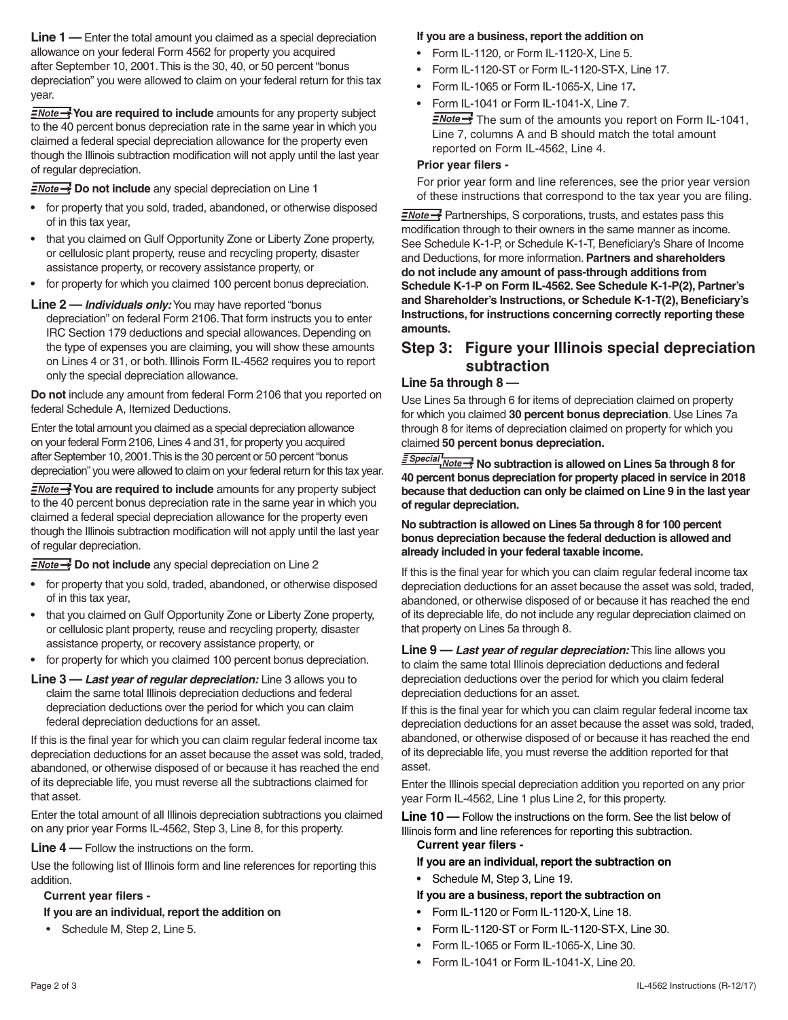**Line 1** — Enter the total amount you claimed as a special depreciation allowance on your federal Form 4562 for property you acquired after September 10, 2001. This is the 30, 40, or 50 percent "bonus depreciation" you were allowed to claim on your federal return for this tax year.

**FNote You are required to include** amounts for any property subject to the 40 percent bonus depreciation rate in the same year in which you claimed a federal special depreciation allowance for the property even though the Illinois subtraction modification will not apply until the last year of regular depreciation.

**ENote >>>** Do not include any special depreciation on Line 1

- **•** for property that you sold, traded, abandoned, or otherwise disposed of in this tax year,
- **•** that you claimed on Gulf Opportunity Zone or Liberty Zone property, or cellulosic plant property, reuse and recycling property, disaster assistance property, or recovery assistance property, or
- **•** for property for which you claimed 100 percent bonus depreciation.

#### **Line 2 —** *Individuals only:* You may have reported "bonus

depreciation" on federal Form 2106. That form instructs you to enter IRC Section 179 deductions and special allowances. Depending on the type of expenses you are claiming, you will show these amounts on Lines 4 or 31, or both. Illinois Form IL-4562 requires you to report only the special depreciation allowance.

**Do not** include any amount from federal Form 2106 that you reported on federal Schedule A, Itemized Deductions.

Enter the total amount you claimed as a special depreciation allowance on your federal Form 2106, Lines 4 and 31, for property you acquired after September 10, 2001. This is the 30 percent or 50 percent "bonus depreciation" you were allowed to claim on your federal return for this tax year.

**FNote You are required to include** amounts for any property subject to the 40 percent bonus depreciation rate in the same year in which you claimed a federal special depreciation allowance for the property even though the Illinois subtraction modification will not apply until the last year of regular depreciation.

**ENote >>>** Do not include any special depreciation on Line 2

- **•** for property that you sold, traded, abandoned, or otherwise disposed of in this tax year,
- **•** that you claimed on Gulf Opportunity Zone or Liberty Zone property, or cellulosic plant property, reuse and recycling property, disaster assistance property, or recovery assistance property, or
- **•** for property for which you claimed 100 percent bonus depreciation.
- **Line 3 —** *Last year of regular depreciation:* Line 3 allows you to claim the same total Illinois depreciation deductions and federal depreciation deductions over the period for which you can claim federal depreciation deductions for an asset.

If this is the final year for which you can claim regular federal income tax depreciation deductions for an asset because the asset was sold, traded, abandoned, or otherwise disposed of or because it has reached the end of its depreciable life, you must reverse all the subtractions claimed for that asset.

Enter the total amount of all Illinois depreciation subtractions you claimed on any prior year Forms IL-4562, Step 3, Line 8, for this property.

**Line 4 —** Follow the instructions on the form.

Use the following list of Illinois form and line references for reporting this addition.

#### **Current year filers -**

### **If you are an individual, report the addition on**

• Schedule M, Step 2, Line 5.

### **If you are a business, report the addition on**

- Form IL-1120, or Form IL-1120-X, Line 5.
- Form IL-1120-ST or Form IL-1120-ST-X, Line 17.
- Form IL-1065 or Form IL-1065-X, Line 17**.**
- Form IL-1041 or Form IL-1041-X, Line 7.  $\sqrt{N_{\text{other}}}$  The sum of the amounts you report on Form IL-1041, Line 7, columns A and B should match the total amount reported on Form IL-4562, Line 4.

#### **Prior year filers -**

For prior year form and line references, see the prior year version of these instructions that correspond to the tax year you are filing.

 $\equiv$ Note  $\rightarrow$  Partnerships, S corporations, trusts, and estates pass this modification through to their owners in the same manner as income. See Schedule K-1-P, or Schedule K-1-T, Beneficiary's Share of Income and Deductions, for more information. **Partners and shareholders do not include any amount of pass-through additions from Schedule K-1-P on Form IL-4562. See Schedule K-1-P(2), Partner's and Shareholder's Instructions, or Schedule K-1-T(2), Beneficiary's Instructions, for instructions concerning correctly reporting these amounts.** 

### **Step 3: Figure your Illinois special depreciation subtraction**

### **Line 5a through 8 —**

Use Lines 5a through 6 for items of depreciation claimed on property for which you claimed **30 percent bonus depreciation**. Use Lines 7a through 8 for items of depreciation claimed on property for which you claimed **50 percent bonus depreciation.**

*<u>E Special</u>* No subtraction is allowed on Lines 5a through 8 for **40 percent bonus depreciation for property placed in service in 2018 because that deduction can only be claimed on Line 9 in the last year of regular depreciation.** 

**No subtraction is allowed on Lines 5a through 8 for 100 percent bonus depreciation because the federal deduction is allowed and already included in your federal taxable income.**

If this is the final year for which you can claim regular federal income tax depreciation deductions for an asset because the asset was sold, traded, abandoned, or otherwise disposed of or because it has reached the end of its depreciable life, do not include any regular depreciation claimed on that property on Lines 5a through 8.

**Line 9 —** *Last year of regular depreciation:* This line allows you to claim the same total Illinois depreciation deductions and federal depreciation deductions over the period for which you claim federal depreciation deductions for an asset.

If this is the final year for which you can claim regular federal income tax depreciation deductions for an asset because the asset was sold, traded, abandoned, or otherwise disposed of or because it has reached the end of its depreciable life, you must reverse the addition reported for that asset.

Enter the Illinois special depreciation addition you reported on any prior year Form IL-4562, Line 1 plus Line 2, for this property.

**Line 10 —** Follow the instructions on the form. See the list below of Illinois form and line references for reporting this subtraction. **Current year filers -** 

### **If you are an individual, report the subtraction on**

Schedule M, Step 3, Line 19.

#### **If you are a business, report the subtraction on**

- Form IL-1120 or Form IL-1120-X, Line 18.
- Form IL-1120-ST or Form IL-1120-ST-X, Line 30.
- Form IL-1065 or Form IL-1065-X, Line 30.
- Form IL-1041 or Form IL-1041-X, Line 20.